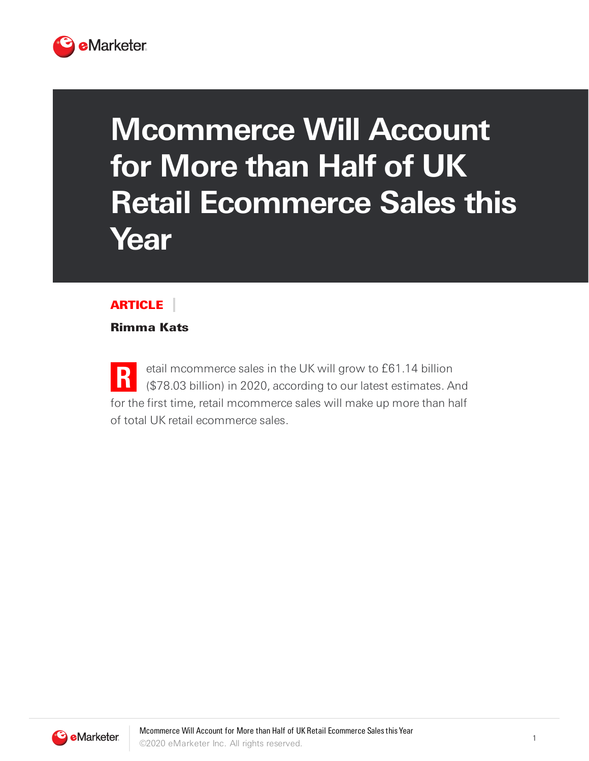

## **Mcommerce Will Account for More than Half of UK Retail Ecommerce Sales this Year**

## ARTICLE

Rimma Kats

**R** etail mcommerce sales in the UK will grow to £61.14 billion (\$78.03 billion) in 2020, according to our latest estimates. And for the first time, retail mcommerce sales will make up more than half of total UK retail ecommerce sales.